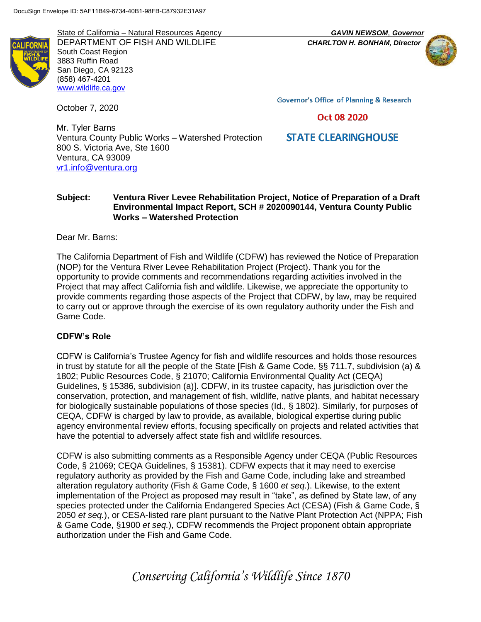State of California – Natural Resources Agency *GAVIN NEWSOM*, *Governor* DEPARTMENT OF FISH AND WILDLIFE *CHARLTON H. BONHAM, Director* South Coast Region 3883 Ruffin Road San Diego, CA 92123 (858) 467-4201 [www.wildlife.ca.gov](http://www.wildlife.ca.gov/)

October 7, 2020

**Governor's Office of Planning & Research** 

# Oct 08 2020

# **STATE CLEARINGHOUSE**

Mr. Tyler Barns Ventura County Public Works – Watershed Protection 800 S. Victoria Ave, Ste 1600 Ventura, CA 93009 [vr1.info@ventura.org](mailto:vr1.info@ventura.org)

# **Subject: Ventura River Levee Rehabilitation Project, Notice of Preparation of a Draft Environmental Impact Report, SCH # 2020090144, Ventura County Public Works – Watershed Protection**

Dear Mr. Barns:

The California Department of Fish and Wildlife (CDFW) has reviewed the Notice of Preparation (NOP) for the Ventura River Levee Rehabilitation Project (Project). Thank you for the opportunity to provide comments and recommendations regarding activities involved in the Project that may affect California fish and wildlife. Likewise, we appreciate the opportunity to provide comments regarding those aspects of the Project that CDFW, by law, may be required to carry out or approve through the exercise of its own regulatory authority under the Fish and Game Code.

# **CDFW's Role**

CDFW is California's Trustee Agency for fish and wildlife resources and holds those resources in trust by statute for all the people of the State [Fish & Game Code, §§ 711.7, subdivision (a) & 1802; Public Resources Code, § 21070; California Environmental Quality Act (CEQA) Guidelines, § 15386, subdivision (a)]. CDFW, in its trustee capacity, has jurisdiction over the conservation, protection, and management of fish, wildlife, native plants, and habitat necessary for biologically sustainable populations of those species (Id., § 1802). Similarly, for purposes of CEQA, CDFW is charged by law to provide, as available, biological expertise during public agency environmental review efforts, focusing specifically on projects and related activities that have the potential to adversely affect state fish and wildlife resources.

CDFW is also submitting comments as a Responsible Agency under CEQA (Public Resources Code, § 21069; CEQA Guidelines, § 15381). CDFW expects that it may need to exercise regulatory authority as provided by the Fish and Game Code, including lake and streambed alteration regulatory authority (Fish & Game Code, § 1600 *et seq*.). Likewise, to the extent implementation of the Project as proposed may result in "take", as defined by State law, of any species protected under the California Endangered Species Act (CESA) (Fish & Game Code, § 2050 *et seq.*), or CESA-listed rare plant pursuant to the Native Plant Protection Act (NPPA; Fish & Game Code, §1900 *et seq.*), CDFW recommends the Project proponent obtain appropriate authorization under the Fish and Game Code.

*Conserving California's Wildlife Since 1870*

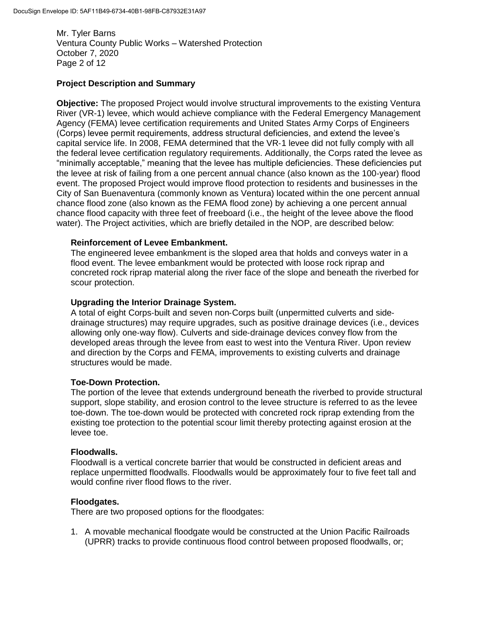Mr. Tyler Barns Ventura County Public Works – Watershed Protection October 7, 2020 Page 2 of 12

# **Project Description and Summary**

**Objective:** The proposed Project would involve structural improvements to the existing Ventura River (VR-1) levee, which would achieve compliance with the Federal Emergency Management Agency (FEMA) levee certification requirements and United States Army Corps of Engineers (Corps) levee permit requirements, address structural deficiencies, and extend the levee's capital service life. In 2008, FEMA determined that the VR‐1 levee did not fully comply with all the federal levee certification regulatory requirements. Additionally, the Corps rated the levee as "minimally acceptable," meaning that the levee has multiple deficiencies. These deficiencies put the levee at risk of failing from a one percent annual chance (also known as the 100‐year) flood event. The proposed Project would improve flood protection to residents and businesses in the City of San Buenaventura (commonly known as Ventura) located within the one percent annual chance flood zone (also known as the FEMA flood zone) by achieving a one percent annual chance flood capacity with three feet of freeboard (i.e., the height of the levee above the flood water). The Project activities, which are briefly detailed in the NOP, are described below:

#### **Reinforcement of Levee Embankment.**

The engineered levee embankment is the sloped area that holds and conveys water in a flood event. The levee embankment would be protected with loose rock riprap and concreted rock riprap material along the river face of the slope and beneath the riverbed for scour protection.

# **Upgrading the Interior Drainage System.**

A total of eight Corps‐built and seven non‐Corps built (unpermitted culverts and side‐ drainage structures) may require upgrades, such as positive drainage devices (i.e., devices allowing only one‐way flow). Culverts and side‐drainage devices convey flow from the developed areas through the levee from east to west into the Ventura River. Upon review and direction by the Corps and FEMA, improvements to existing culverts and drainage structures would be made.

#### **Toe**‐**Down Protection.**

The portion of the levee that extends underground beneath the riverbed to provide structural support, slope stability, and erosion control to the levee structure is referred to as the levee toe‐down. The toe‐down would be protected with concreted rock riprap extending from the existing toe protection to the potential scour limit thereby protecting against erosion at the levee toe.

#### **Floodwalls.**

Floodwall is a vertical concrete barrier that would be constructed in deficient areas and replace unpermitted floodwalls. Floodwalls would be approximately four to five feet tall and would confine river flood flows to the river.

#### **Floodgates.**

There are two proposed options for the floodgates:

1. A movable mechanical floodgate would be constructed at the Union Pacific Railroads (UPRR) tracks to provide continuous flood control between proposed floodwalls, or;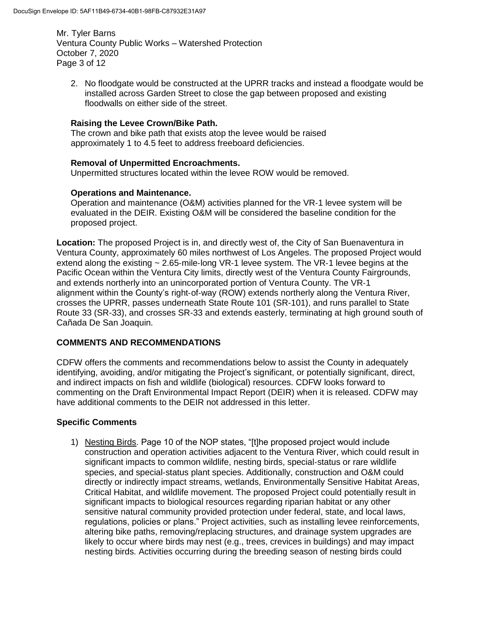Mr. Tyler Barns Ventura County Public Works – Watershed Protection October 7, 2020 Page 3 of 12

2. No floodgate would be constructed at the UPRR tracks and instead a floodgate would be installed across Garden Street to close the gap between proposed and existing floodwalls on either side of the street.

### **Raising the Levee Crown/Bike Path.**

The crown and bike path that exists atop the levee would be raised approximately 1 to 4.5 feet to address freeboard deficiencies.

# **Removal of Unpermitted Encroachments.**

Unpermitted structures located within the levee ROW would be removed.

# **Operations and Maintenance.**

Operation and maintenance (O&M) activities planned for the VR‐1 levee system will be evaluated in the DEIR. Existing O&M will be considered the baseline condition for the proposed project.

**Location:** The proposed Project is in, and directly west of, the City of San Buenaventura in Ventura County, approximately 60 miles northwest of Los Angeles. The proposed Project would extend along the existing ~ 2.65-mile-long VR-1 levee system. The VR-1 levee begins at the Pacific Ocean within the Ventura City limits, directly west of the Ventura County Fairgrounds, and extends northerly into an unincorporated portion of Ventura County. The VR‐1 alignment within the County's right‐of‐way (ROW) extends northerly along the Ventura River, crosses the UPRR, passes underneath State Route 101 (SR-101), and runs parallel to State Route 33 (SR-33), and crosses SR-33 and extends easterly, terminating at high ground south of Cañada De San Joaquin.

# **COMMENTS AND RECOMMENDATIONS**

CDFW offers the comments and recommendations below to assist the County in adequately identifying, avoiding, and/or mitigating the Project's significant, or potentially significant, direct, and indirect impacts on fish and wildlife (biological) resources. CDFW looks forward to commenting on the Draft Environmental Impact Report (DEIR) when it is released. CDFW may have additional comments to the DEIR not addressed in this letter.

#### **Specific Comments**

1) Nesting Birds. Page 10 of the NOP states, "[t]he proposed project would include construction and operation activities adjacent to the Ventura River, which could result in significant impacts to common wildlife, nesting birds, special‐status or rare wildlife species, and special‐status plant species. Additionally, construction and O&M could directly or indirectly impact streams, wetlands, Environmentally Sensitive Habitat Areas, Critical Habitat, and wildlife movement. The proposed Project could potentially result in significant impacts to biological resources regarding riparian habitat or any other sensitive natural community provided protection under federal, state, and local laws, regulations, policies or plans." Project activities, such as installing levee reinforcements, altering bike paths, removing/replacing structures, and drainage system upgrades are likely to occur where birds may nest (e.g., trees, crevices in buildings) and may impact nesting birds. Activities occurring during the breeding season of nesting birds could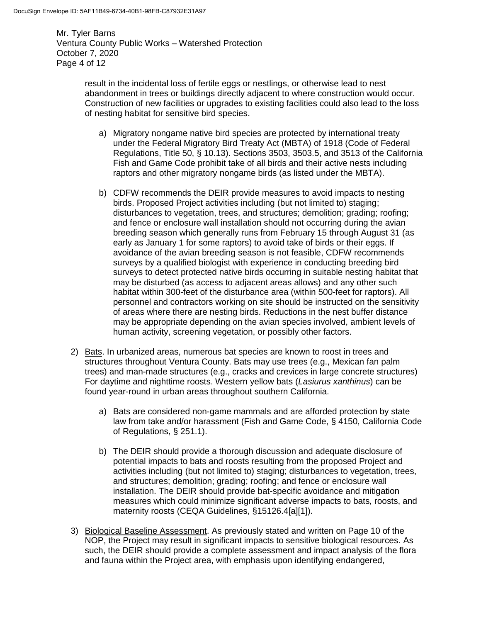Mr. Tyler Barns Ventura County Public Works – Watershed Protection October 7, 2020 Page 4 of 12

> result in the incidental loss of fertile eggs or nestlings, or otherwise lead to nest abandonment in trees or buildings directly adjacent to where construction would occur. Construction of new facilities or upgrades to existing facilities could also lead to the loss of nesting habitat for sensitive bird species.

- a) Migratory nongame native bird species are protected by international treaty under the Federal Migratory Bird Treaty Act (MBTA) of 1918 (Code of Federal Regulations, Title 50, § 10.13). Sections 3503, 3503.5, and 3513 of the California Fish and Game Code prohibit take of all birds and their active nests including raptors and other migratory nongame birds (as listed under the MBTA).
- b) CDFW recommends the DEIR provide measures to avoid impacts to nesting birds. Proposed Project activities including (but not limited to) staging; disturbances to vegetation, trees, and structures; demolition; grading; roofing; and fence or enclosure wall installation should not occurring during the avian breeding season which generally runs from February 15 through August 31 (as early as January 1 for some raptors) to avoid take of birds or their eggs. If avoidance of the avian breeding season is not feasible, CDFW recommends surveys by a qualified biologist with experience in conducting breeding bird surveys to detect protected native birds occurring in suitable nesting habitat that may be disturbed (as access to adjacent areas allows) and any other such habitat within 300-feet of the disturbance area (within 500-feet for raptors). All personnel and contractors working on site should be instructed on the sensitivity of areas where there are nesting birds. Reductions in the nest buffer distance may be appropriate depending on the avian species involved, ambient levels of human activity, screening vegetation, or possibly other factors.
- 2) Bats. In urbanized areas, numerous bat species are known to roost in trees and structures throughout Ventura County. Bats may use trees (e.g., Mexican fan palm trees) and man-made structures (e.g., cracks and crevices in large concrete structures) For daytime and nighttime roosts. Western yellow bats (*Lasiurus xanthinus*) can be found year-round in urban areas throughout southern California.
	- a) Bats are considered non-game mammals and are afforded protection by state law from take and/or harassment (Fish and Game Code, § 4150, California Code of Regulations, § 251.1).
	- b) The DEIR should provide a thorough discussion and adequate disclosure of potential impacts to bats and roosts resulting from the proposed Project and activities including (but not limited to) staging; disturbances to vegetation, trees, and structures; demolition; grading; roofing; and fence or enclosure wall installation. The DEIR should provide bat-specific avoidance and mitigation measures which could minimize significant adverse impacts to bats, roosts, and maternity roosts (CEQA Guidelines, §15126.4[a][1]).
- 3) Biological Baseline Assessment. As previously stated and written on Page 10 of the NOP, the Project may result in significant impacts to sensitive biological resources. As such, the DEIR should provide a complete assessment and impact analysis of the flora and fauna within the Project area, with emphasis upon identifying endangered,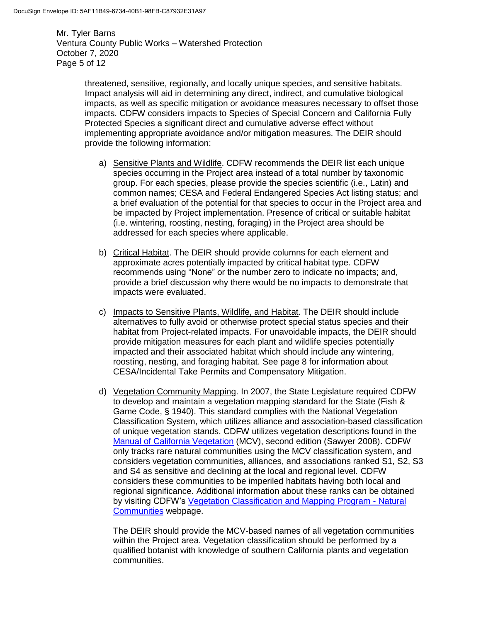Mr. Tyler Barns Ventura County Public Works – Watershed Protection October 7, 2020 Page 5 of 12

> threatened, sensitive, regionally, and locally unique species, and sensitive habitats. Impact analysis will aid in determining any direct, indirect, and cumulative biological impacts, as well as specific mitigation or avoidance measures necessary to offset those impacts. CDFW considers impacts to Species of Special Concern and California Fully Protected Species a significant direct and cumulative adverse effect without implementing appropriate avoidance and/or mitigation measures. The DEIR should provide the following information:

- a) Sensitive Plants and Wildlife. CDFW recommends the DEIR list each unique species occurring in the Project area instead of a total number by taxonomic group. For each species, please provide the species scientific (i.e., Latin) and common names; CESA and Federal Endangered Species Act listing status; and a brief evaluation of the potential for that species to occur in the Project area and be impacted by Project implementation. Presence of critical or suitable habitat (i.e. wintering, roosting, nesting, foraging) in the Project area should be addressed for each species where applicable.
- b) Critical Habitat. The DEIR should provide columns for each element and approximate acres potentially impacted by critical habitat type. CDFW recommends using "None" or the number zero to indicate no impacts; and, provide a brief discussion why there would be no impacts to demonstrate that impacts were evaluated.
- c) Impacts to Sensitive Plants, Wildlife, and Habitat. The DEIR should include alternatives to fully avoid or otherwise protect special status species and their habitat from Project-related impacts. For unavoidable impacts, the DEIR should provide mitigation measures for each plant and wildlife species potentially impacted and their associated habitat which should include any wintering, roosting, nesting, and foraging habitat. See page 8 for information about CESA/Incidental Take Permits and Compensatory Mitigation.
- d) Vegetation Community Mapping. In 2007, the State Legislature required CDFW to develop and maintain a vegetation mapping standard for the State (Fish & Game Code, § 1940). This standard complies with the National Vegetation Classification System, which utilizes alliance and association-based classification of unique vegetation stands. CDFW utilizes vegetation descriptions found in the [Manual of California Vegetation](http://vegetation.cnps.org/) (MCV), second edition (Sawyer 2008). CDFW only tracks rare natural communities using the MCV classification system, and considers vegetation communities, alliances, and associations ranked S1, S2, S3 and S4 as sensitive and declining at the local and regional level. CDFW considers these communities to be imperiled habitats having both local and regional significance. Additional information about these ranks can be obtained by visiting CDFW's [Vegetation Classification and Mapping Program -](https://wildlife.ca.gov/Data/VegCAMP/Natural-Communities) Natural [Communities](https://wildlife.ca.gov/Data/VegCAMP/Natural-Communities) webpage.

The DEIR should provide the MCV-based names of all vegetation communities within the Project area. Vegetation classification should be performed by a qualified botanist with knowledge of southern California plants and vegetation communities.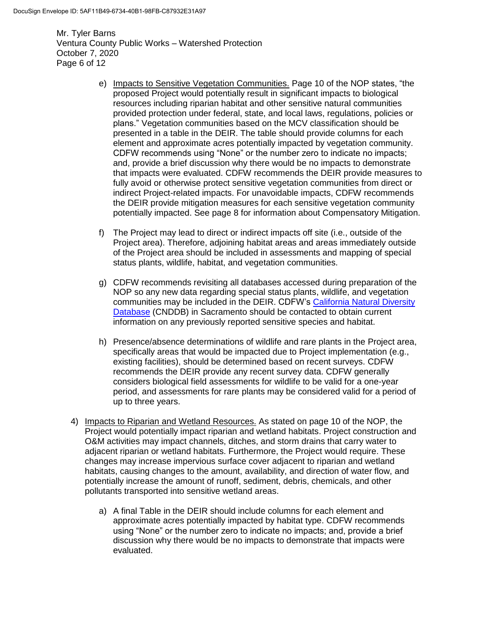Mr. Tyler Barns Ventura County Public Works – Watershed Protection October 7, 2020 Page 6 of 12

- e) Impacts to Sensitive Vegetation Communities. Page 10 of the NOP states, "the proposed Project would potentially result in significant impacts to biological resources including riparian habitat and other sensitive natural communities provided protection under federal, state, and local laws, regulations, policies or plans." Vegetation communities based on the MCV classification should be presented in a table in the DEIR. The table should provide columns for each element and approximate acres potentially impacted by vegetation community. CDFW recommends using "None" or the number zero to indicate no impacts; and, provide a brief discussion why there would be no impacts to demonstrate that impacts were evaluated. CDFW recommends the DEIR provide measures to fully avoid or otherwise protect sensitive vegetation communities from direct or indirect Project-related impacts. For unavoidable impacts, CDFW recommends the DEIR provide mitigation measures for each sensitive vegetation community potentially impacted. See page 8 for information about Compensatory Mitigation.
- f) The Project may lead to direct or indirect impacts off site (i.e., outside of the Project area). Therefore, adjoining habitat areas and areas immediately outside of the Project area should be included in assessments and mapping of special status plants, wildlife, habitat, and vegetation communities.
- g) CDFW recommends revisiting all databases accessed during preparation of the NOP so any new data regarding special status plants, wildlife, and vegetation communities may be included in the DEIR. CDFW's [California Natural Diversity](https://wildlife.ca.gov/data/cnddb)  [Database](https://wildlife.ca.gov/data/cnddb) (CNDDB) in Sacramento should be contacted to obtain current information on any previously reported sensitive species and habitat.
- h) Presence/absence determinations of wildlife and rare plants in the Project area, specifically areas that would be impacted due to Project implementation (e.g., existing facilities), should be determined based on recent surveys. CDFW recommends the DEIR provide any recent survey data. CDFW generally considers biological field assessments for wildlife to be valid for a one-year period, and assessments for rare plants may be considered valid for a period of up to three years.
- 4) Impacts to Riparian and Wetland Resources. As stated on page 10 of the NOP, the Project would potentially impact riparian and wetland habitats. Project construction and O&M activities may impact channels, ditches, and storm drains that carry water to adjacent riparian or wetland habitats. Furthermore, the Project would require. These changes may increase impervious surface cover adjacent to riparian and wetland habitats, causing changes to the amount, availability, and direction of water flow, and potentially increase the amount of runoff, sediment, debris, chemicals, and other pollutants transported into sensitive wetland areas.
	- a) A final Table in the DEIR should include columns for each element and approximate acres potentially impacted by habitat type. CDFW recommends using "None" or the number zero to indicate no impacts; and, provide a brief discussion why there would be no impacts to demonstrate that impacts were evaluated.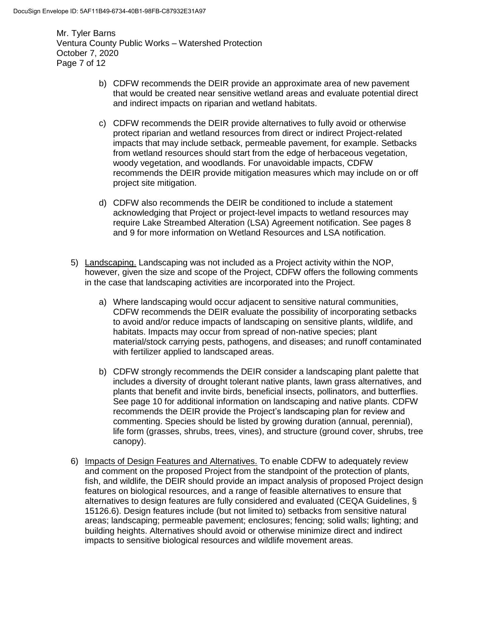Mr. Tyler Barns Ventura County Public Works – Watershed Protection October 7, 2020 Page 7 of 12

- b) CDFW recommends the DEIR provide an approximate area of new pavement that would be created near sensitive wetland areas and evaluate potential direct and indirect impacts on riparian and wetland habitats.
- c) CDFW recommends the DEIR provide alternatives to fully avoid or otherwise protect riparian and wetland resources from direct or indirect Project-related impacts that may include setback, permeable pavement, for example. Setbacks from wetland resources should start from the edge of herbaceous vegetation, woody vegetation, and woodlands. For unavoidable impacts, CDFW recommends the DEIR provide mitigation measures which may include on or off project site mitigation.
- d) CDFW also recommends the DEIR be conditioned to include a statement acknowledging that Project or project-level impacts to wetland resources may require Lake Streambed Alteration (LSA) Agreement notification. See pages 8 and 9 for more information on Wetland Resources and LSA notification.
- 5) Landscaping. Landscaping was not included as a Project activity within the NOP, however, given the size and scope of the Project, CDFW offers the following comments in the case that landscaping activities are incorporated into the Project.
	- a) Where landscaping would occur adjacent to sensitive natural communities, CDFW recommends the DEIR evaluate the possibility of incorporating setbacks to avoid and/or reduce impacts of landscaping on sensitive plants, wildlife, and habitats. Impacts may occur from spread of non-native species; plant material/stock carrying pests, pathogens, and diseases; and runoff contaminated with fertilizer applied to landscaped areas.
	- b) CDFW strongly recommends the DEIR consider a landscaping plant palette that includes a diversity of drought tolerant native plants, lawn grass alternatives, and plants that benefit and invite birds, beneficial insects, pollinators, and butterflies. See page 10 for additional information on landscaping and native plants. CDFW recommends the DEIR provide the Project's landscaping plan for review and commenting. Species should be listed by growing duration (annual, perennial), life form (grasses, shrubs, trees, vines), and structure (ground cover, shrubs, tree canopy).
- 6) Impacts of Design Features and Alternatives. To enable CDFW to adequately review and comment on the proposed Project from the standpoint of the protection of plants, fish, and wildlife, the DEIR should provide an impact analysis of proposed Project design features on biological resources, and a range of feasible alternatives to ensure that alternatives to design features are fully considered and evaluated (CEQA Guidelines, § 15126.6). Design features include (but not limited to) setbacks from sensitive natural areas; landscaping; permeable pavement; enclosures; fencing; solid walls; lighting; and building heights. Alternatives should avoid or otherwise minimize direct and indirect impacts to sensitive biological resources and wildlife movement areas.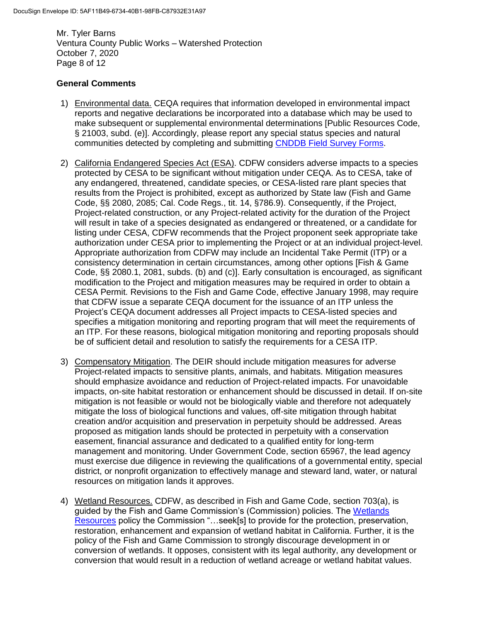Mr. Tyler Barns Ventura County Public Works – Watershed Protection October 7, 2020 Page 8 of 12

# **General Comments**

- 1) Environmental data. CEQA requires that information developed in environmental impact reports and negative declarations be incorporated into a database which may be used to make subsequent or supplemental environmental determinations [Public Resources Code, § 21003, subd. (e)]. Accordingly, please report any special status species and natural communities detected by completing and submitting [CNDDB Field Survey Forms.](https://wildlife.ca.gov/Data/CNDDB/Submitting-Data)
- 2) California Endangered Species Act (ESA). CDFW considers adverse impacts to a species protected by CESA to be significant without mitigation under CEQA. As to CESA, take of any endangered, threatened, candidate species, or CESA-listed rare plant species that results from the Project is prohibited, except as authorized by State law (Fish and Game Code, §§ 2080, 2085; Cal. Code Regs., tit. 14, §786.9). Consequently, if the Project, Project-related construction, or any Project-related activity for the duration of the Project will result in take of a species designated as endangered or threatened, or a candidate for listing under CESA, CDFW recommends that the Project proponent seek appropriate take authorization under CESA prior to implementing the Project or at an individual project-level. Appropriate authorization from CDFW may include an Incidental Take Permit (ITP) or a consistency determination in certain circumstances, among other options [Fish & Game Code, §§ 2080.1, 2081, subds. (b) and (c)]. Early consultation is encouraged, as significant modification to the Project and mitigation measures may be required in order to obtain a CESA Permit. Revisions to the Fish and Game Code, effective January 1998, may require that CDFW issue a separate CEQA document for the issuance of an ITP unless the Project's CEQA document addresses all Project impacts to CESA-listed species and specifies a mitigation monitoring and reporting program that will meet the requirements of an ITP. For these reasons, biological mitigation monitoring and reporting proposals should be of sufficient detail and resolution to satisfy the requirements for a CESA ITP.
- 3) Compensatory Mitigation. The DEIR should include mitigation measures for adverse Project-related impacts to sensitive plants, animals, and habitats. Mitigation measures should emphasize avoidance and reduction of Project-related impacts. For unavoidable impacts, on-site habitat restoration or enhancement should be discussed in detail. If on-site mitigation is not feasible or would not be biologically viable and therefore not adequately mitigate the loss of biological functions and values, off-site mitigation through habitat creation and/or acquisition and preservation in perpetuity should be addressed. Areas proposed as mitigation lands should be protected in perpetuity with a conservation easement, financial assurance and dedicated to a qualified entity for long-term management and monitoring. Under Government Code, section 65967, the lead agency must exercise due diligence in reviewing the qualifications of a governmental entity, special district, or nonprofit organization to effectively manage and steward land, water, or natural resources on mitigation lands it approves.
- 4) Wetland Resources. CDFW, as described in Fish and Game Code, section 703(a), is guided by the Fish and Game Commission's (Commission) policies. The [Wetlands](https://fgc.ca.gov/About/Policies/Miscellaneous)  [Resources](https://fgc.ca.gov/About/Policies/Miscellaneous) policy the Commission "…seek[s] to provide for the protection, preservation, restoration, enhancement and expansion of wetland habitat in California. Further, it is the policy of the Fish and Game Commission to strongly discourage development in or conversion of wetlands. It opposes, consistent with its legal authority, any development or conversion that would result in a reduction of wetland acreage or wetland habitat values.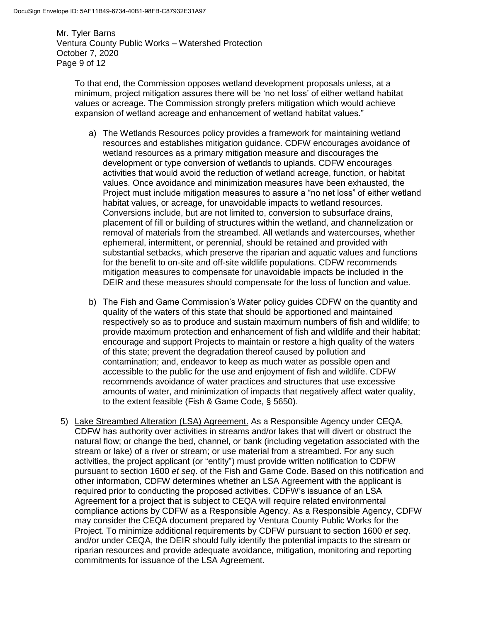Mr. Tyler Barns Ventura County Public Works – Watershed Protection October 7, 2020 Page 9 of 12

To that end, the Commission opposes wetland development proposals unless, at a minimum, project mitigation assures there will be 'no net loss' of either wetland habitat values or acreage. The Commission strongly prefers mitigation which would achieve expansion of wetland acreage and enhancement of wetland habitat values."

- a) The Wetlands Resources policy provides a framework for maintaining wetland resources and establishes mitigation guidance. CDFW encourages avoidance of wetland resources as a primary mitigation measure and discourages the development or type conversion of wetlands to uplands. CDFW encourages activities that would avoid the reduction of wetland acreage, function, or habitat values. Once avoidance and minimization measures have been exhausted, the Project must include mitigation measures to assure a "no net loss" of either wetland habitat values, or acreage, for unavoidable impacts to wetland resources. Conversions include, but are not limited to, conversion to subsurface drains, placement of fill or building of structures within the wetland, and channelization or removal of materials from the streambed. All wetlands and watercourses, whether ephemeral, intermittent, or perennial, should be retained and provided with substantial setbacks, which preserve the riparian and aquatic values and functions for the benefit to on-site and off-site wildlife populations. CDFW recommends mitigation measures to compensate for unavoidable impacts be included in the DEIR and these measures should compensate for the loss of function and value.
- b) The Fish and Game Commission's Water policy guides CDFW on the quantity and quality of the waters of this state that should be apportioned and maintained respectively so as to produce and sustain maximum numbers of fish and wildlife; to provide maximum protection and enhancement of fish and wildlife and their habitat; encourage and support Projects to maintain or restore a high quality of the waters of this state; prevent the degradation thereof caused by pollution and contamination; and, endeavor to keep as much water as possible open and accessible to the public for the use and enjoyment of fish and wildlife. CDFW recommends avoidance of water practices and structures that use excessive amounts of water, and minimization of impacts that negatively affect water quality, to the extent feasible (Fish & Game Code, § 5650).
- 5) Lake Streambed Alteration (LSA) Agreement. As a Responsible Agency under CEQA, CDFW has authority over activities in streams and/or lakes that will divert or obstruct the natural flow; or change the bed, channel, or bank (including vegetation associated with the stream or lake) of a river or stream; or use material from a streambed. For any such activities, the project applicant (or "entity") must provide written notification to CDFW pursuant to section 1600 *et seq*. of the Fish and Game Code. Based on this notification and other information, CDFW determines whether an LSA Agreement with the applicant is required prior to conducting the proposed activities. CDFW's issuance of an LSA Agreement for a project that is subject to CEQA will require related environmental compliance actions by CDFW as a Responsible Agency. As a Responsible Agency, CDFW may consider the CEQA document prepared by Ventura County Public Works for the Project. To minimize additional requirements by CDFW pursuant to section 1600 *et seq*. and/or under CEQA, the DEIR should fully identify the potential impacts to the stream or riparian resources and provide adequate avoidance, mitigation, monitoring and reporting commitments for issuance of the LSA Agreement.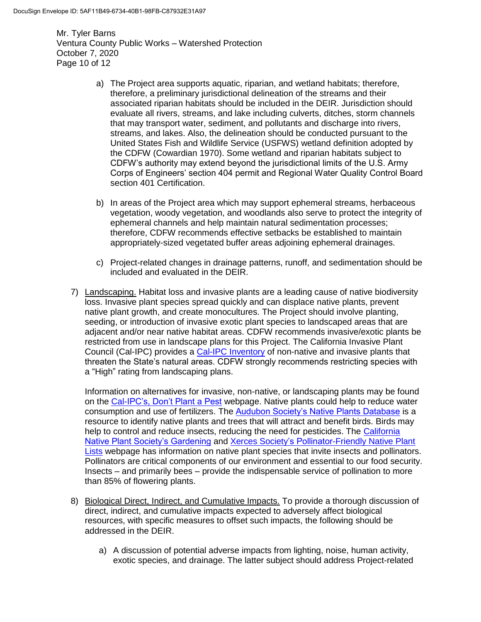Mr. Tyler Barns Ventura County Public Works – Watershed Protection October 7, 2020 Page 10 of 12

- a) The Project area supports aquatic, riparian, and wetland habitats; therefore, therefore, a preliminary jurisdictional delineation of the streams and their associated riparian habitats should be included in the DEIR. Jurisdiction should evaluate all rivers, streams, and lake including culverts, ditches, storm channels that may transport water, sediment, and pollutants and discharge into rivers, streams, and lakes. Also, the delineation should be conducted pursuant to the United States Fish and Wildlife Service (USFWS) wetland definition adopted by the CDFW (Cowardian 1970). Some wetland and riparian habitats subject to CDFW's authority may extend beyond the jurisdictional limits of the U.S. Army Corps of Engineers' section 404 permit and Regional Water Quality Control Board section 401 Certification.
- b) In areas of the Project area which may support ephemeral streams, herbaceous vegetation, woody vegetation, and woodlands also serve to protect the integrity of ephemeral channels and help maintain natural sedimentation processes; therefore, CDFW recommends effective setbacks be established to maintain appropriately-sized vegetated buffer areas adjoining ephemeral drainages.
- c) Project-related changes in drainage patterns, runoff, and sedimentation should be included and evaluated in the DEIR.
- 7) Landscaping. Habitat loss and invasive plants are a leading cause of native biodiversity loss. Invasive plant species spread quickly and can displace native plants, prevent native plant growth, and create monocultures. The Project should involve planting, seeding, or introduction of invasive exotic plant species to landscaped areas that are adjacent and/or near native habitat areas. CDFW recommends invasive/exotic plants be restricted from use in landscape plans for this Project. The California Invasive Plant Council (Cal-IPC) provides a [Cal-IPC Inventory](https://www.cal-ipc.org/plants/inventory/) of non-native and invasive plants that threaten the State's natural areas. CDFW strongly recommends restricting species with a "High" rating from landscaping plans.

Information on alternatives for invasive, non-native, or landscaping plants may be found on the [Cal-IPC's, Don't Plant a Pest](https://www.cal-ipc.org/solutions/prevention/landscaping/dpp/) webpage. Native plants could help to reduce water consumption and use of fertilizers. The [Audubon Society's Native Plants Database](https://www.audubon.org/native-plants) is a resource to identify native plants and trees that will attract and benefit birds. Birds may help to control and reduce insects, reducing the need for pesticides. The [California](https://www.cnps.org/gardening)  [Native Plant Society's Gardening](https://www.cnps.org/gardening) and [Xerces Society's Pollinator-Friendly Native Plant](https://xerces.org/pollinator-conservation/pollinator-friendly-plant-lists)  [Lists](https://xerces.org/pollinator-conservation/pollinator-friendly-plant-lists) webpage has information on native plant species that invite insects and pollinators. Pollinators are critical components of our environment and essential to our food security. Insects – and primarily bees – provide the indispensable service of pollination to more than 85% of flowering plants.

- 8) Biological Direct, Indirect, and Cumulative Impacts. To provide a thorough discussion of direct, indirect, and cumulative impacts expected to adversely affect biological resources, with specific measures to offset such impacts, the following should be addressed in the DEIR.
	- a) A discussion of potential adverse impacts from lighting, noise, human activity, exotic species, and drainage. The latter subject should address Project-related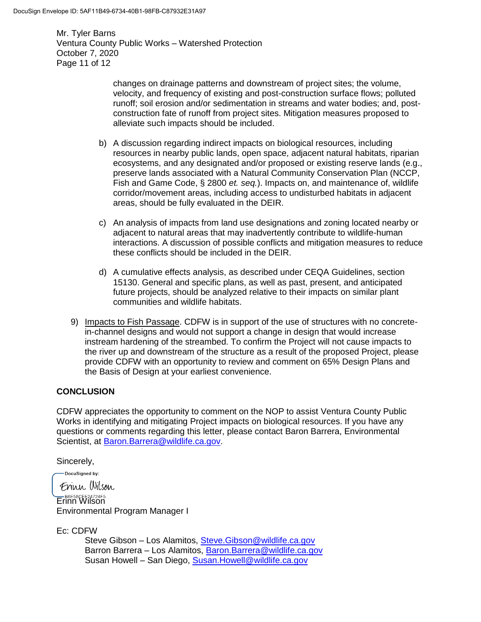Mr. Tyler Barns Ventura County Public Works – Watershed Protection October 7, 2020 Page 11 of 12

> changes on drainage patterns and downstream of project sites; the volume, velocity, and frequency of existing and post-construction surface flows; polluted runoff; soil erosion and/or sedimentation in streams and water bodies; and, postconstruction fate of runoff from project sites. Mitigation measures proposed to alleviate such impacts should be included.

- b) A discussion regarding indirect impacts on biological resources, including resources in nearby public lands, open space, adjacent natural habitats, riparian ecosystems, and any designated and/or proposed or existing reserve lands (e.g., preserve lands associated with a Natural Community Conservation Plan (NCCP, Fish and Game Code, § 2800 *et. seq.*). Impacts on, and maintenance of, wildlife corridor/movement areas, including access to undisturbed habitats in adjacent areas, should be fully evaluated in the DEIR.
- c) An analysis of impacts from land use designations and zoning located nearby or adjacent to natural areas that may inadvertently contribute to wildlife-human interactions. A discussion of possible conflicts and mitigation measures to reduce these conflicts should be included in the DEIR.
- d) A cumulative effects analysis, as described under CEQA Guidelines, section 15130. General and specific plans, as well as past, present, and anticipated future projects, should be analyzed relative to their impacts on similar plant communities and wildlife habitats.
- 9) Impacts to Fish Passage. CDFW is in support of the use of structures with no concretein-channel designs and would not support a change in design that would increase instream hardening of the streambed. To confirm the Project will not cause impacts to the river up and downstream of the structure as a result of the proposed Project, please provide CDFW with an opportunity to review and comment on 65% Design Plans and the Basis of Design at your earliest convenience.

# **CONCLUSION**

CDFW appreciates the opportunity to comment on the NOP to assist Ventura County Public Works in identifying and mitigating Project impacts on biological resources. If you have any questions or comments regarding this letter, please contact Baron Barrera, Environmental Scientist, at [Baron.Barrera@wildlife.ca.gov.](mailto:Baron.Barrera@wildlife.ca.gov)

Sincerely,

-DocuSigned by:

Frinn Wilson EREESBOFE24724F5...<br>Erinn Wilson Environmental Program Manager I

Ec: CDFW

Steve Gibson – Los Alamitos, [Steve.Gibson@wildlife.ca.gov](mailto:Steve.Gibson@wildlife.ca.gov) Barron Barrera – Los Alamitos, [Baron.Barrera@wildlife.ca.gov](mailto:Baron.Barrera@wildlife.ca.gov) Susan Howell – San Diego, [Susan.Howell@wildlife.ca.gov](mailto:Susan.Howell@wildlife.ca.gov)